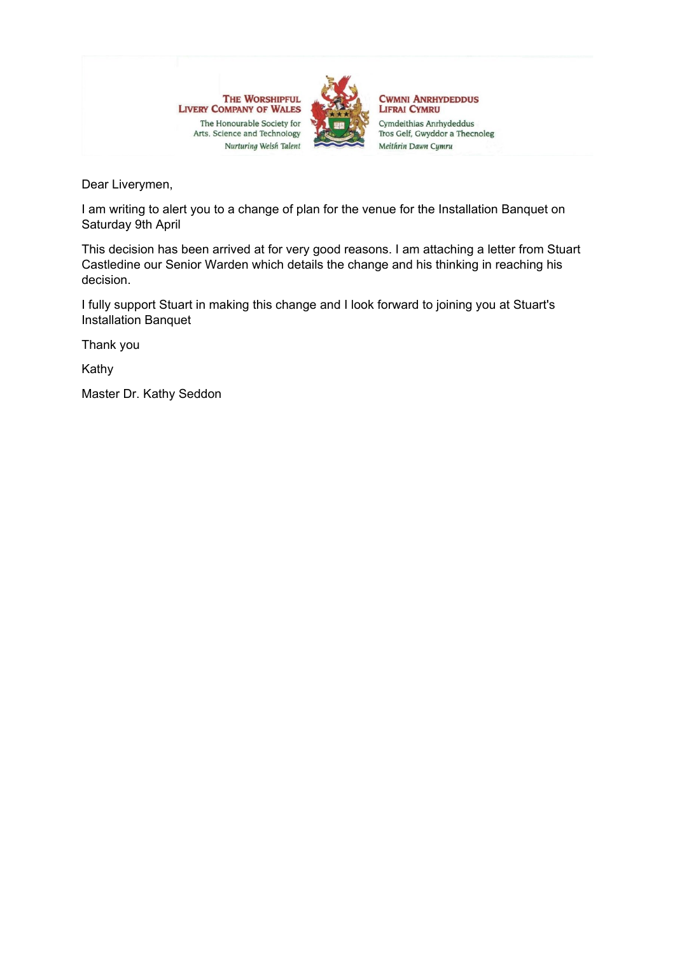

**CWMNI ANRHYDEDDUS LIFRAI CYMRU** Cymdeithias Anrhydeddus Tros Gelf, Gwyddor a Thecnoleg Meithrin Dawn Cymru

Dear Liverymen,

I am writing to alert you to a change of plan for the venue for the Installation Banquet on Saturday 9th April

This decision has been arrived at for very good reasons. I am attaching a letter from Stuart Castledine our Senior Warden which details the change and his thinking in reaching his decision.

I fully support Stuart in making this change and I look forward to joining you at Stuart's Installation Banquet

Thank you

Kathy

Master Dr. Kathy Seddon